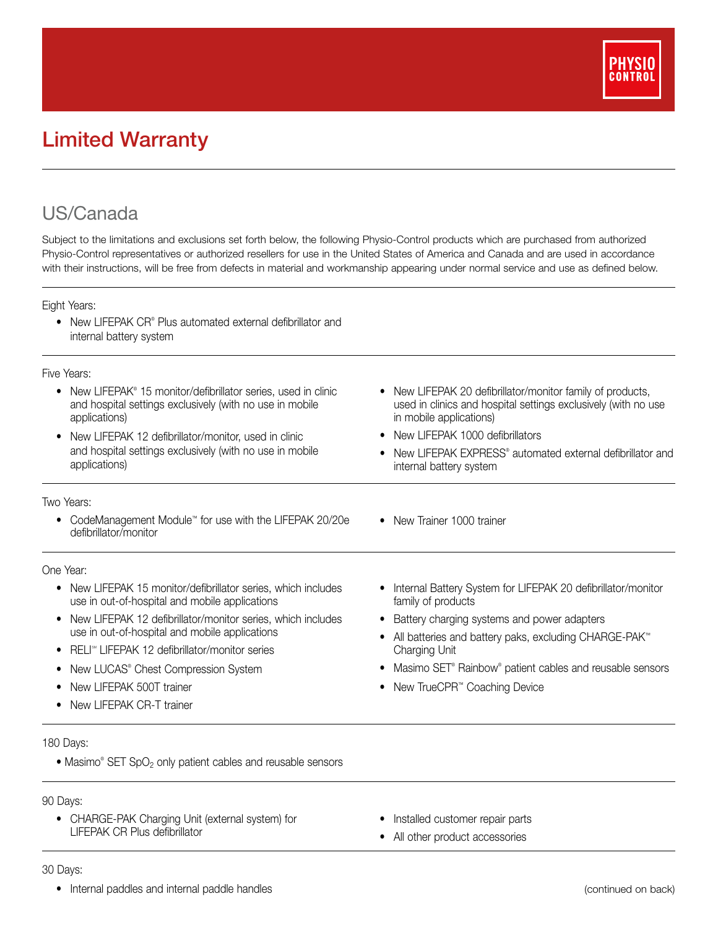

# Limited Warranty

## US/Canada

Subject to the limitations and exclusions set forth below, the following Physio-Control products which are purchased from authorized Physio-Control representatives or authorized resellers for use in the United States of America and Canada and are used in accordance with their instructions, will be free from defects in material and workmanship appearing under normal service and use as defined below.

Eight Years:

• New LIFEPAK CR® Plus automated external defibrillator and internal battery system

#### Five Years:

| New LIFEPAK® 15 monitor/defibrillator series, used in clinic<br>and hospital settings exclusively (with no use in mobile<br>applications)<br>New LIFEPAK 12 defibrillator/monitor, used in clinic<br>and hospital settings exclusively (with no use in mobile<br>applications) | New LIFEPAK 20 defibrillator/monitor family of products,<br>used in clinics and hospital settings exclusively (with no use<br>in mobile applications)<br>New LIFEPAK 1000 defibrillators<br>New LIFEPAK EXPRESS <sup>®</sup> automated external defibrillator and<br>internal battery system |
|--------------------------------------------------------------------------------------------------------------------------------------------------------------------------------------------------------------------------------------------------------------------------------|----------------------------------------------------------------------------------------------------------------------------------------------------------------------------------------------------------------------------------------------------------------------------------------------|
| Two Years:                                                                                                                                                                                                                                                                     |                                                                                                                                                                                                                                                                                              |
| CodeManagement Module™ for use with the LIFEPAK 20/20e<br>defibrillator/monitor                                                                                                                                                                                                | New Trainer 1000 trainer<br>$\bullet$                                                                                                                                                                                                                                                        |
| One Year:                                                                                                                                                                                                                                                                      |                                                                                                                                                                                                                                                                                              |
| New LIFEPAK 15 monitor/defibrillator series, which includes<br>$\bullet$<br>use in out-of-hospital and mobile applications                                                                                                                                                     | Internal Battery System for LIFEPAK 20 defibrillator/monitor<br>family of products                                                                                                                                                                                                           |
| New LIFEPAK 12 defibrillator/monitor series, which includes<br>use in out-of-hospital and mobile applications                                                                                                                                                                  | Battery charging systems and power adapters                                                                                                                                                                                                                                                  |
|                                                                                                                                                                                                                                                                                | All batteries and battery paks, excluding CHARGE-PAK <sup>™</sup><br>Charging Unit                                                                                                                                                                                                           |
| RELI <sup>®</sup> LIFEPAK 12 defibrillator/monitor series                                                                                                                                                                                                                      |                                                                                                                                                                                                                                                                                              |
| New LUCAS® Chest Compression System<br>٠                                                                                                                                                                                                                                       | Masimo SET <sup>®</sup> Rainbow <sup>®</sup> patient cables and reusable sensors                                                                                                                                                                                                             |
| New LIFEPAK 500T trainer                                                                                                                                                                                                                                                       | New TrueCPR <sup>™</sup> Coaching Device                                                                                                                                                                                                                                                     |
| New LIFEPAK CR-T trainer                                                                                                                                                                                                                                                       |                                                                                                                                                                                                                                                                                              |

180 Days:

• Masimo® SET SpO<sub>2</sub> only patient cables and reusable sensors

### 90 Days:

- CHARGE-PAK Charging Unit (external system) for LIFEPAK CR Plus defibrillator
- Installed customer repair parts
- All other product accessories

#### 30 Days:

• Internal paddles and internal paddle handles